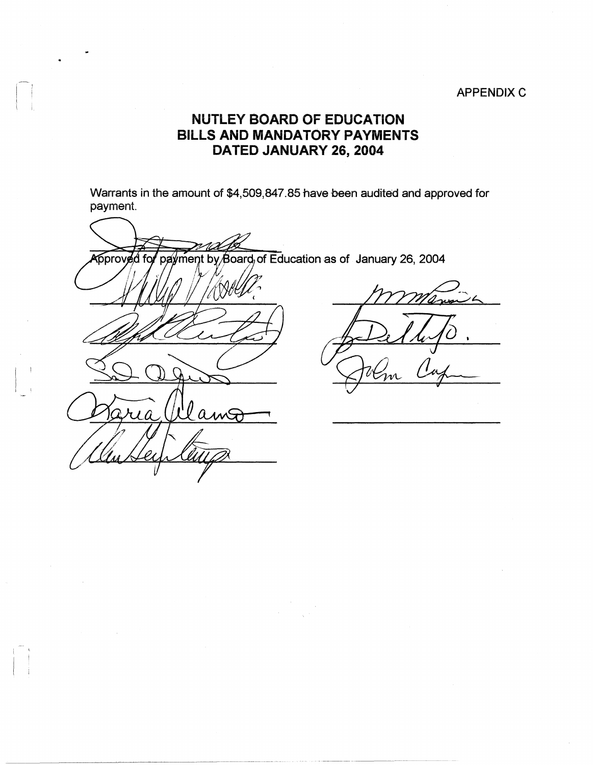## APPENDIX C

## **NUTLEY BOARD OF EDUCATION BILLS AND MANDATORY PAYMENTS DATED JANUARY 26, 2004**

 $\left\| \begin{array}{c} \mathbb{I} \\ \mathbb{I} \end{array} \right\|_{\mathbb{L}}$ 

 $\frac{1}{2}$ 

Warrants in the amount of \$4,509,847.85 have been audited and approved for payment.

payment by Board, of Education as of January 26, 2004 Approved fo llamo

---~---------·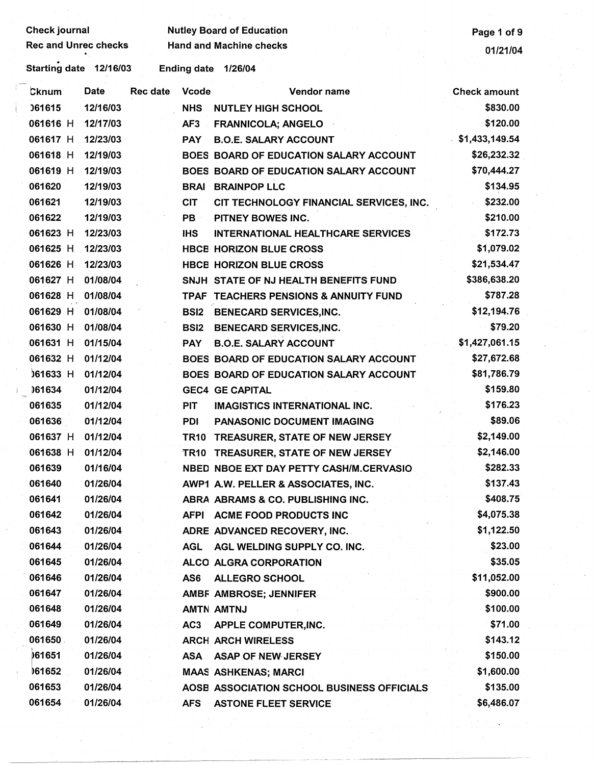| <b>Check journal</b>                                    | Page 1 of 9                    |                                            |                     |  |  |  |  |  |  |
|---------------------------------------------------------|--------------------------------|--------------------------------------------|---------------------|--|--|--|--|--|--|
| Rec and Unrec checks                                    | <b>Hand and Machine checks</b> | 01/21/04                                   |                     |  |  |  |  |  |  |
| Starting date 12/16/03<br><b>Ending date</b><br>1/26/04 |                                |                                            |                     |  |  |  |  |  |  |
| Date<br><b>Cknum</b>                                    | Rec date<br><b>Vcode</b>       | Vendor name                                | <b>Check amount</b> |  |  |  |  |  |  |
| 061615<br>12/16/03                                      | <b>NHS</b>                     | <b>NUTLEY HIGH SCHOOL</b>                  | \$830.00            |  |  |  |  |  |  |
| 061616 H<br>12/17/03                                    | AF <sub>3</sub>                | <b>FRANNICOLA; ANGELO</b>                  | \$120.00            |  |  |  |  |  |  |
| 061617 H<br>12/23/03                                    | <b>PAY</b>                     | <b>B.O.E. SALARY ACCOUNT</b>               | \$1,433,149.54      |  |  |  |  |  |  |
| 061618 H<br>12/19/03                                    |                                | BOES BOARD OF EDUCATION SALARY ACCOUNT     | \$26,232.32         |  |  |  |  |  |  |
| 061619 H<br>12/19/03                                    |                                | BOES BOARD OF EDUCATION SALARY ACCOUNT     | \$70,444.27         |  |  |  |  |  |  |
| 061620<br>12/19/03                                      |                                | <b>BRAI BRAINPOP LLC</b>                   | \$134.95            |  |  |  |  |  |  |
| 061621<br>12/19/03                                      | <b>CIT</b>                     | CIT TECHNOLOGY FINANCIAL SERVICES, INC.    | \$232.00            |  |  |  |  |  |  |
| 061622<br>12/19/03                                      | PB                             | PITNEY BOWES INC.                          | \$210.00            |  |  |  |  |  |  |
| 061623 H<br>12/23/03                                    | <b>IHS</b>                     | <b>INTERNATIONAL HEALTHCARE SERVICES</b>   | \$172.73            |  |  |  |  |  |  |
| 061625 H<br>12/23/03                                    |                                | <b>HBCE HORIZON BLUE CROSS</b>             | \$1,079.02          |  |  |  |  |  |  |
| 061626 H<br>12/23/03                                    |                                | <b>HBCE HORIZON BLUE CROSS</b>             | \$21,534.47         |  |  |  |  |  |  |
| 061627 H<br>01/08/04                                    |                                | SNJH STATE OF NJ HEALTH BENEFITS FUND      | \$386,638.20        |  |  |  |  |  |  |
| 061628 H<br>01/08/04                                    |                                | TPAF TEACHERS PENSIONS & ANNUITY FUND      | \$787.28            |  |  |  |  |  |  |
| 061629 H<br>01/08/04                                    | <b>BSI2</b>                    | <b>BENECARD SERVICES, INC.</b>             | \$12,194.76         |  |  |  |  |  |  |
| 061630 H<br>01/08/04                                    | <b>BSI2</b>                    | <b>BENECARD SERVICES, INC.</b>             | \$79.20             |  |  |  |  |  |  |
| 061631 H<br>01/15/04                                    | <b>PAY</b>                     | <b>B.O.E. SALARY ACCOUNT</b>               | \$1,427,061.15      |  |  |  |  |  |  |
| 061632 H<br>01/12/04                                    |                                | BOES BOARD OF EDUCATION SALARY ACCOUNT     | \$27,672.68         |  |  |  |  |  |  |
| 061633 H<br>01/12/04                                    |                                | BOES BOARD OF EDUCATION SALARY ACCOUNT     | \$81,786.79         |  |  |  |  |  |  |
| 161634<br>01/12/04                                      |                                | <b>GEC4 GE CAPITAL</b>                     | \$159.80            |  |  |  |  |  |  |
| 061635<br>01/12/04                                      | <b>PIT</b>                     | <b>IMAGISTICS INTERNATIONAL INC.</b>       | \$176.23            |  |  |  |  |  |  |
| 01/12/04<br>061636                                      | <b>PDI</b>                     | PANASONIC DOCUMENT IMAGING                 | \$89.06             |  |  |  |  |  |  |
| 061637 H<br>01/12/04                                    | <b>TR10</b>                    | TREASURER, STATE OF NEW JERSEY             | \$2,149.00          |  |  |  |  |  |  |
| 061638 H<br>01/12/04                                    |                                | TR10 TREASURER, STATE OF NEW JERSEY        | \$2,146.00          |  |  |  |  |  |  |
| 061639<br>01/16/04                                      |                                | NBED NBOE EXT DAY PETTY CASH/M.CERVASIO    | \$282.33            |  |  |  |  |  |  |
| 061640<br>01/26/04                                      |                                | AWP1 A.W. PELLER & ASSOCIATES, INC.        | \$137.43            |  |  |  |  |  |  |
| 061641<br>01/26/04                                      |                                | ABRA ABRAMS & CO. PUBLISHING INC.          | \$408.75            |  |  |  |  |  |  |
| 061642<br>01/26/04                                      |                                | AFPI ACME FOOD PRODUCTS INC                | \$4,075.38          |  |  |  |  |  |  |
| 061643<br>01/26/04                                      |                                | ADRE ADVANCED RECOVERY, INC.               | \$1,122.50          |  |  |  |  |  |  |
| 061644<br>01/26/04                                      | AGL                            | AGL WELDING SUPPLY CO. INC.                | \$23.00             |  |  |  |  |  |  |
| 061645<br>01/26/04                                      |                                | ALCO ALGRA CORPORATION                     | \$35.05             |  |  |  |  |  |  |
| 061646<br>01/26/04                                      | AS6                            | <b>ALLEGRO SCHOOL</b>                      | \$11,052.00         |  |  |  |  |  |  |
| 061647<br>01/26/04                                      |                                | AMBF AMBROSE; JENNIFER                     | \$900.00            |  |  |  |  |  |  |
| 061648<br>01/26/04                                      |                                | AMTN AMTNJ                                 | \$100.00            |  |  |  |  |  |  |
| 061649<br>01/26/04                                      | AC <sub>3</sub>                | APPLE COMPUTER, INC.                       | \$71.00             |  |  |  |  |  |  |
| 061650<br>01/26/04                                      |                                | <b>ARCH ARCH WIRELESS</b>                  | \$143.12            |  |  |  |  |  |  |
| 061651<br>01/26/04                                      |                                | ASA ASAP OF NEW JERSEY                     | \$150.00            |  |  |  |  |  |  |
| 061652<br>01/26/04                                      |                                | <b>MAAS ASHKENAS; MARCI</b>                | \$1,600.00          |  |  |  |  |  |  |
| 061653<br>01/26/04                                      |                                | AOSE ASSOCIATION SCHOOL BUSINESS OFFICIALS | \$135.00            |  |  |  |  |  |  |
| 061654<br>01/26/04                                      | <b>AFS</b>                     | <b>ASTONE FLEET SERVICE</b>                | \$6,486.07          |  |  |  |  |  |  |
|                                                         |                                |                                            |                     |  |  |  |  |  |  |

 $\dot{1}$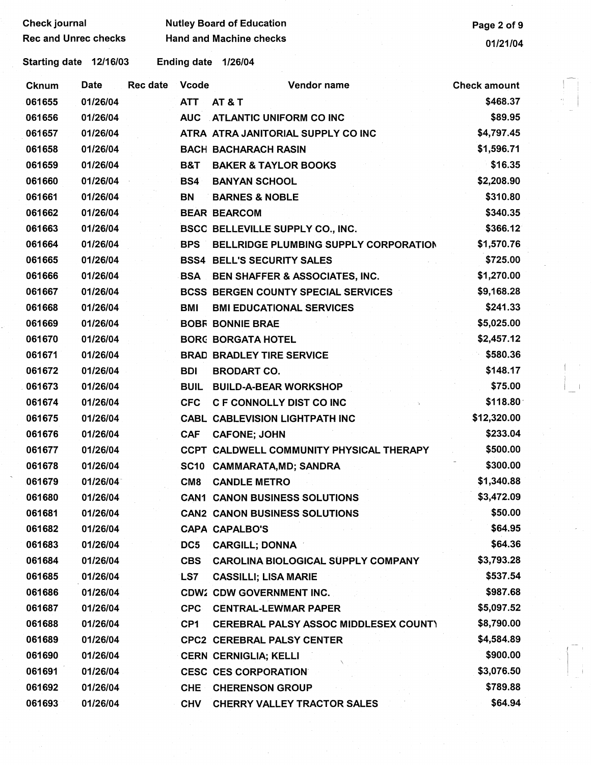| <b>Check journal</b>        |             |                 | <b>Nutley Board of Education</b> | Page 2 of 9                                |                     |
|-----------------------------|-------------|-----------------|----------------------------------|--------------------------------------------|---------------------|
| <b>Rec and Unrec checks</b> |             |                 | <b>Hand and Machine checks</b>   | 01/21/04                                   |                     |
| Starting date 12/16/03      |             |                 | <b>Ending date</b>               | 1/26/04                                    |                     |
| <b>Cknum</b>                | <b>Date</b> | <b>Rec date</b> | <b>Vcode</b>                     | Vendor name                                | <b>Check amount</b> |
| 061655                      | 01/26/04    |                 | <b>ATT</b>                       | AT & T                                     | \$468.37            |
| 061656                      | 01/26/04    |                 | <b>AUC</b>                       | <b>ATLANTIC UNIFORM CO INC</b>             | \$89.95             |
| 061657                      | 01/26/04    |                 |                                  | ATRA ATRA JANITORIAL SUPPLY CO INC         | \$4,797.45          |
| 061658                      | 01/26/04    |                 |                                  | <b>BACH BACHARACH RASIN</b>                | \$1,596.71          |
| 061659                      | 01/26/04    |                 | B&T                              | <b>BAKER &amp; TAYLOR BOOKS</b>            | \$16.35             |
| 061660                      | 01/26/04    |                 | BS4                              | <b>BANYAN SCHOOL</b>                       | \$2,208.90          |
| 061661                      | 01/26/04    |                 | BN                               | <b>BARNES &amp; NOBLE</b>                  | \$310.80            |
| 061662                      | 01/26/04    |                 |                                  | <b>BEAR BEARCOM</b>                        | \$340.35            |
| 061663                      | 01/26/04    |                 |                                  | <b>BSCC BELLEVILLE SUPPLY CO., INC.</b>    | \$366.12            |
| 061664                      | 01/26/04    |                 | <b>BPS</b>                       | BELLRIDGE PLUMBING SUPPLY CORPORATION      | \$1,570.76          |
| 061665                      | 01/26/04    |                 |                                  | <b>BSS4 BELL'S SECURITY SALES</b>          | \$725.00            |
| 061666                      | 01/26/04    |                 | <b>BSA</b>                       | BEN SHAFFER & ASSOCIATES, INC.             | \$1,270.00          |
| 061667                      | 01/26/04    |                 |                                  | <b>BCSS BERGEN COUNTY SPECIAL SERVICES</b> | \$9,168.28          |
| 061668                      | 01/26/04    |                 | <b>BMI</b>                       | <b>BMI EDUCATIONAL SERVICES</b>            | \$241.33            |
| 061669                      | 01/26/04    |                 |                                  | <b>BOBF BONNIE BRAE</b>                    | \$5,025.00          |
| 061670                      | 01/26/04    |                 |                                  | <b>BORG BORGATA HOTEL</b>                  | \$2,457.12          |
| 061671                      | 01/26/04    |                 |                                  | <b>BRAD BRADLEY TIRE SERVICE</b>           | \$580.36            |
| 061672                      | 01/26/04    |                 | <b>BDI</b>                       | <b>BRODART CO.</b>                         | \$148.17            |
| 061673                      | 01/26/04    |                 | <b>BUIL</b>                      | <b>BUILD-A-BEAR WORKSHOP</b>               | \$75.00             |
| 061674                      | 01/26/04    |                 | <b>CFC</b>                       | C F CONNOLLY DIST CO INC                   | \$118.80            |
| 061675                      | 01/26/04    |                 |                                  | <b>CABL CABLEVISION LIGHTPATH INC</b>      | \$12,320.00         |
| 061676                      | 01/26/04    |                 | <b>CAF</b>                       | <b>CAFONE: JOHN</b>                        | \$233.04            |
| 061677                      | 01/26/04    |                 |                                  | CCPT CALDWELL COMMUNITY PHYSICAL THERAPY   | \$500.00            |
| 061678                      | 01/26/04    |                 |                                  | SC10 CAMMARATA, MD; SANDRA                 | \$300.00            |
| 061679                      | 01/26/04    |                 | CM8                              | <b>CANDLE METRO</b>                        | \$1,340.88          |
| 061680                      | 01/26/04    |                 |                                  | <b>CAN1 CANON BUSINESS SOLUTIONS</b>       | \$3,472.09          |
| 061681                      | 01/26/04    |                 |                                  | <b>CAN2 CANON BUSINESS SOLUTIONS</b>       | \$50.00             |
| 061682                      | 01/26/04    |                 |                                  | <b>CAPA CAPALBO'S</b>                      | \$64.95             |
| 061683                      | 01/26/04    |                 | DC5                              | <b>CARGILL; DONNA</b>                      | \$64.36             |
| 061684                      | 01/26/04    |                 | <b>CBS</b>                       | <b>CAROLINA BIOLOGICAL SUPPLY COMPANY</b>  | \$3,793.28          |
| 061685                      | 01/26/04    |                 | LS7                              | <b>CASSILLI; LISA MARIE</b>                | \$537.54            |
| 061686                      | 01/26/04    |                 |                                  | <b>CDW2 CDW GOVERNMENT INC.</b>            | \$987.68            |
| 061687                      | 01/26/04    |                 | <b>CPC</b>                       | <b>CENTRAL-LEWMAR PAPER</b>                | \$5,097.52          |
| 061688                      | 01/26/04    |                 | CP1                              | CEREBRAL PALSY ASSOC MIDDLESEX COUNTY      | \$8,790.00          |
| 061689                      | 01/26/04    |                 |                                  | <b>CPC2 CEREBRAL PALSY CENTER</b>          | \$4,584.89          |
| 061690                      | 01/26/04    |                 |                                  | <b>CERN CERNIGLIA; KELLI</b>               | \$900.00            |
| 061691                      | 01/26/04    |                 |                                  | <b>CESC CES CORPORATION</b>                | \$3,076.50          |
| 061692                      | 01/26/04    |                 | <b>CHE</b>                       | <b>CHERENSON GROUP</b>                     | \$789.88            |
| 061693                      | 01/26/04    |                 | <b>CHV</b>                       | <b>CHERRY VALLEY TRACTOR SALES</b>         | \$64.94             |

 $\begin{bmatrix} 1 \\ 1 \end{bmatrix}$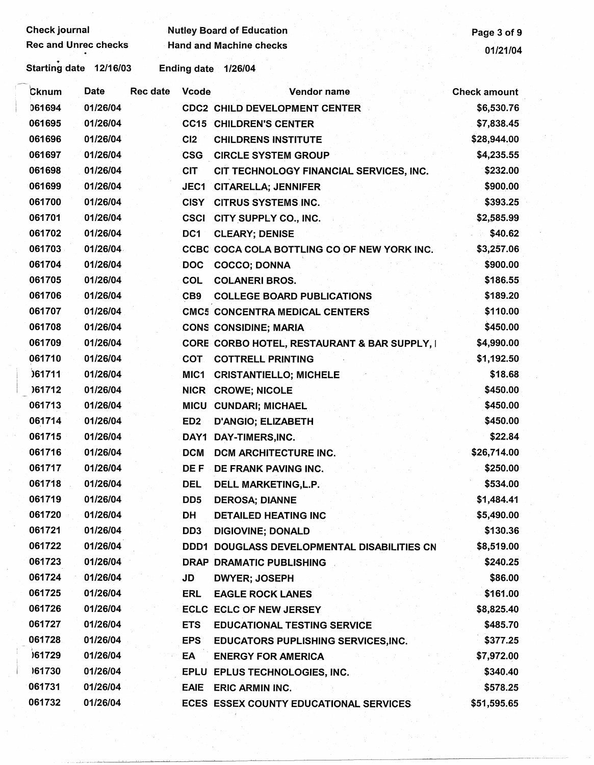| <b>Check journal</b>        |             |                 |                  | <b>Nutley Board of Education</b>             | Page 3 of 9         |
|-----------------------------|-------------|-----------------|------------------|----------------------------------------------|---------------------|
| <b>Rec and Unrec checks</b> |             |                 |                  | <b>Hand and Machine checks</b>               | 01/21/04            |
| Starting date 12/16/03      |             |                 |                  | Ending date 1/26/04                          |                     |
| Cknum                       | <b>Date</b> | <b>Rec date</b> | <b>Vcode</b>     | Vendor name                                  | <b>Check amount</b> |
| 061694                      | 01/26/04    |                 |                  | <b>CDC2 CHILD DEVELOPMENT CENTER</b>         | \$6,530.76          |
| 061695                      | 01/26/04    |                 |                  | <b>CC15 CHILDREN'S CENTER</b>                | \$7,838.45          |
| 061696                      | 01/26/04    |                 | CI2              | <b>CHILDRENS INSTITUTE</b>                   | \$28,944.00         |
| 061697                      | 01/26/04    |                 | <b>CSG</b>       | <b>CIRCLE SYSTEM GROUP</b>                   | \$4,235.55          |
| 061698                      | 01/26/04    |                 | <b>CIT</b>       | CIT TECHNOLOGY FINANCIAL SERVICES, INC.      | \$232.00            |
| 061699                      | 01/26/04    |                 | JEC1             | <b>CITARELLA; JENNIFER</b>                   | \$900.00            |
| 061700                      | 01/26/04    |                 | <b>CISY</b>      | <b>CITRUS SYSTEMS INC.</b>                   | \$393.25            |
| 061701                      | 01/26/04    |                 | <b>CSCI</b>      | CITY SUPPLY CO., INC.                        | \$2,585.99          |
| 061702                      | 01/26/04    |                 | DC1              | <b>CLEARY; DENISE</b>                        | \$40.62             |
| 061703                      | 01/26/04    |                 |                  | CCBC COCA COLA BOTTLING CO OF NEW YORK INC.  | \$3,257.06          |
| 061704                      | 01/26/04    |                 | <b>DOC</b>       | <b>COCCO; DONNA</b>                          | \$900.00            |
| 061705                      | 01/26/04    |                 | COL              | <b>COLANERI BROS.</b>                        | \$186.55            |
| 061706                      | 01/26/04    |                 | CB <sub>9</sub>  | <b>COLLEGE BOARD PUBLICATIONS</b>            | \$189.20            |
| 061707                      | 01/26/04    |                 |                  | <b>CMC5 CONCENTRA MEDICAL CENTERS</b>        | \$110.00            |
| 061708                      | 01/26/04    |                 |                  | <b>CONS CONSIDINE; MARIA</b>                 | \$450.00            |
| 061709                      | 01/26/04    |                 |                  | CORE CORBO HOTEL, RESTAURANT & BAR SUPPLY, I | \$4,990.00          |
| 061710                      | 01/26/04    |                 | <b>COT</b>       | <b>COTTRELL PRINTING</b>                     | \$1,192.50          |
| 061711                      | 01/26/04    |                 | MIC <sub>1</sub> | <b>CRISTANTIELLO; MICHELE</b>                | \$18.68             |
| 161712                      | 01/26/04    |                 |                  | NICR CROWE; NICOLE                           | \$450.00            |
| 061713                      | 01/26/04    |                 |                  | MICU CUNDARI; MICHAEL                        | \$450.00            |
| 061714                      | 01/26/04    |                 | ED <sub>2</sub>  | <b>D'ANGIO; ELIZABETH</b>                    | \$450.00            |
| 061715                      | 01/26/04    |                 |                  | DAY1 DAY-TIMERS, INC.                        | \$22.84             |
| 061716                      | 01/26/04    |                 |                  | <b>DCM DCM ARCHITECTURE INC</b>              | \$26,714.00         |
| 061717                      | 01/26/04    |                 |                  | DE F DE FRANK PAVING INC.                    | \$250.00            |
| 061718                      | 01/26/04    |                 | <b>DEL</b>       | <b>DELL MARKETING, L.P.</b>                  | \$534.00            |
| 061719                      | 01/26/04    |                 | DD <sub>5</sub>  | <b>DEROSA; DIANNE</b>                        | \$1,484.41          |
| 061720                      | 01/26/04    |                 | DH               | <b>DETAILED HEATING INC</b>                  | \$5,490.00          |
| 061721                      | 01/26/04    |                 | DD <sub>3</sub>  | <b>DIGIOVINE; DONALD</b>                     | \$130.36            |
| 061722                      | 01/26/04    |                 |                  | DDD1 DOUGLASS DEVELOPMENTAL DISABILITIES CN  | \$8,519.00          |
| 061723                      | 01/26/04    |                 |                  | DRAP DRAMATIC PUBLISHING                     | \$240.25            |
| 061724                      | 01/26/04    |                 | JD               | <b>DWYER; JOSEPH</b>                         | \$86.00             |
| 061725                      | 01/26/04    |                 | ERL              | <b>EAGLE ROCK LANES</b>                      | \$161.00            |
| 061726                      | 01/26/04    |                 |                  | <b>ECLC ECLC OF NEW JERSEY</b>               | \$8,825.40          |
| 061727                      | 01/26/04    |                 | <b>ETS</b>       | <b>EDUCATIONAL TESTING SERVICE</b>           | \$485.70            |
| 061728                      | 01/26/04    |                 | <b>EPS</b>       | <b>EDUCATORS PUPLISHING SERVICES, INC.</b>   | \$377.25            |
| 061729                      | 01/26/04    |                 | EA               | <b>ENERGY FOR AMERICA</b>                    | \$7,972.00          |
| 161730                      | 01/26/04    |                 |                  | EPLU EPLUS TECHNOLOGIES, INC.                | \$340.40            |
| 061731                      | 01/26/04    |                 | <b>EAIE</b>      | <b>ERIC ARMIN INC.</b>                       | \$578.25            |
| 061732                      | 01/26/04    |                 |                  | ECES ESSEX COUNTY EDUCATIONAL SERVICES       | \$51,595.65         |
|                             |             |                 |                  |                                              |                     |

 $\frac{1}{2}$ 

i<br>D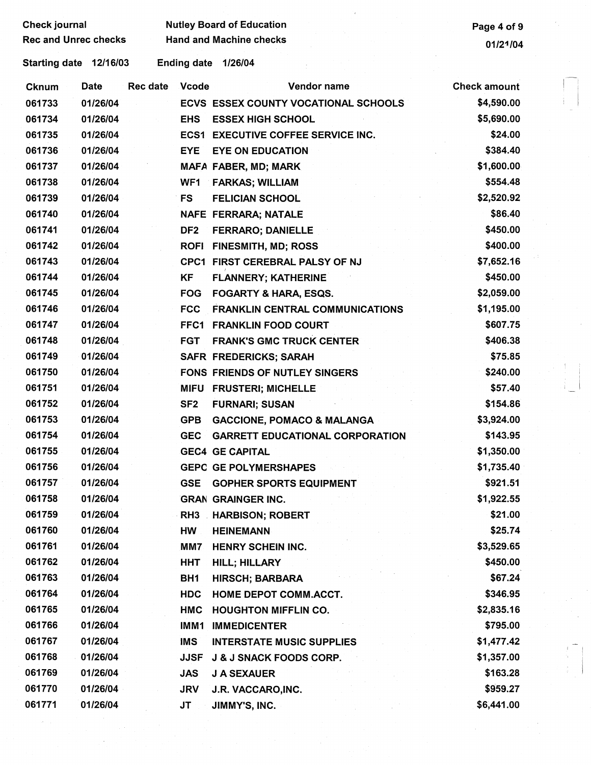Check journal **Check is a set of Solution** Nutley Board of Education **Page 4 of 9** Page 4 of 9

Starting date 12/16/03 Ending date 1/26/04

| <b>Cknum</b> | <b>Date</b> | Rec date | Vcode           | Vendor name                               | <b>Check amount</b> |
|--------------|-------------|----------|-----------------|-------------------------------------------|---------------------|
| 061733       | 01/26/04    |          |                 | ECVS ESSEX COUNTY VOCATIONAL SCHOOLS      | \$4,590.00          |
| 061734       | 01/26/04    |          | <b>EHS</b>      | <b>ESSEX HIGH SCHOOL</b>                  | \$5,690.00          |
| 061735       | 01/26/04    |          |                 | <b>ECS1 EXECUTIVE COFFEE SERVICE INC.</b> | \$24.00             |
| 061736       | 01/26/04    |          | <b>EYE</b>      | <b>EYE ON EDUCATION</b>                   | \$384.40            |
| 061737       | 01/26/04    |          |                 | MAFA FABER, MD; MARK                      | \$1,600.00          |
| 061738       | 01/26/04    |          | WF1             | <b>FARKAS; WILLIAM</b>                    | \$554.48            |
| 061739       | 01/26/04    |          | <b>FS</b>       | <b>FELICIAN SCHOOL</b>                    | \$2,520.92          |
| 061740       | 01/26/04    |          |                 | NAFE FERRARA; NATALE                      | \$86.40             |
| 061741       | 01/26/04    |          | DF <sub>2</sub> | <b>FERRARO; DANIELLE</b>                  | \$450.00            |
| 061742       | 01/26/04    |          | <b>ROFI</b>     | <b>FINESMITH, MD, ROSS</b>                | \$400.00            |
| 061743       | 01/26/04    |          |                 | CPC1 FIRST CEREBRAL PALSY OF NJ           | \$7,652.16          |
| 061744       | 01/26/04    |          | KF              | <b>FLANNERY; KATHERINE</b>                | \$450.00            |
| 061745       | 01/26/04    |          | <b>FOG</b>      | <b>FOGARTY &amp; HARA, ESQS.</b>          | \$2,059.00          |
| 061746       | 01/26/04    |          | <b>FCC</b>      | <b>FRANKLIN CENTRAL COMMUNICATIONS</b>    | \$1,195.00          |
| 061747       | 01/26/04    |          | FFC1            | <b>FRANKLIN FOOD COURT</b>                | \$607.75            |
| 061748       | 01/26/04    |          | <b>FGT</b>      | <b>FRANK'S GMC TRUCK CENTER</b>           | \$406.38            |
| 061749       | 01/26/04    |          |                 | <b>SAFR FREDERICKS; SARAH</b>             | \$75.85             |
| 061750       | 01/26/04    |          |                 | <b>FONS FRIENDS OF NUTLEY SINGERS</b>     | \$240.00            |
| 061751       | 01/26/04    |          |                 | MIFU FRUSTERI; MICHELLE                   | \$57.40             |
| 061752       | 01/26/04    |          | SF <sub>2</sub> | <b>FURNARI; SUSAN</b>                     | \$154.86            |
| 061753       | 01/26/04    |          | <b>GPB</b>      | <b>GACCIONE, POMACO &amp; MALANGA</b>     | \$3,924.00          |
| 061754       | 01/26/04    |          | <b>GEC</b>      | <b>GARRETT EDUCATIONAL CORPORATION</b>    | \$143.95            |
| 061755       | 01/26/04    |          |                 | <b>GEC4 GE CAPITAL</b>                    | \$1,350.00          |
| 061756       | 01/26/04    |          |                 | <b>GEPC GE POLYMERSHAPES</b>              | \$1,735.40          |
| 061757       | 01/26/04    |          | <b>GSE</b>      | <b>GOPHER SPORTS EQUIPMENT</b>            | \$921.51            |
| 061758       | 01/26/04    |          |                 | <b>GRAN GRAINGER INC.</b>                 | \$1,922.55          |
| 061759       | 01/26/04    |          | RH3             | <b>HARBISON; ROBERT</b>                   | \$21.00             |
| 061760       | 01/26/04    |          | <b>HW</b>       | <b>HEINEMANN</b>                          | \$25.74             |
| 061761       | 01/26/04    |          | MM7             | HENRY SCHEIN INC.                         | \$3,529.65          |
| 061762       | 01/26/04    |          | HHT             | <b>HILL; HILLARY</b>                      | \$450.00            |
| 061763       | 01/26/04    |          | BH <sub>1</sub> | <b>HIRSCH; BARBARA</b>                    | \$67.24             |
| 061764       | 01/26/04    |          | <b>HDC</b>      | HOME DEPOT COMM.ACCT.                     | \$346.95            |
| 061765       | 01/26/04    |          | HMC             | <b>HOUGHTON MIFFLIN CO.</b>               | \$2,835.16          |
| 061766       | 01/26/04    |          | IMM1            | <b>IMMEDICENTER</b>                       | \$795.00            |
| 061767       | 01/26/04    |          | <b>IMS</b>      | <b>INTERSTATE MUSIC SUPPLIES</b>          | \$1,477.42          |
| 061768       | 01/26/04    |          | <b>JJSF</b>     | J & J SNACK FOODS CORP.                   | \$1,357.00          |
| 061769       | 01/26/04    |          | <b>JAS</b>      | <b>J A SEXAUER</b>                        | \$163.28            |
| 061770       | 01/26/04    |          | <b>JRV</b>      | J.R. VACCARO, INC.                        | \$959.27            |
| 061771       | 01/26/04    |          | JT              | JIMMY'S, INC.                             | \$6,441.00          |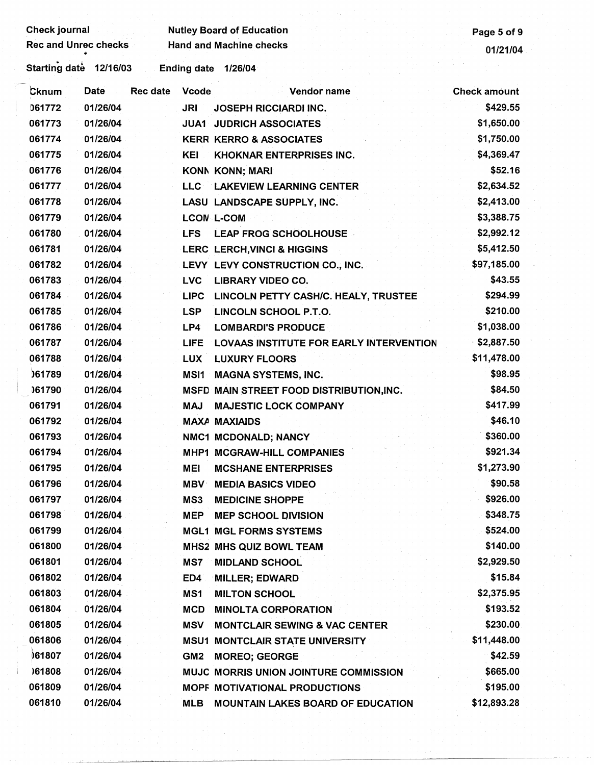| Check journal               |             |                 |                    | <b>Nutley Board of Education</b>               | Page 5 of 9         |
|-----------------------------|-------------|-----------------|--------------------|------------------------------------------------|---------------------|
| <b>Rec and Unrec checks</b> |             |                 |                    | <b>Hand and Machine checks</b>                 | 01/21/04            |
| Starting date 12/16/03      |             |                 | <b>Ending date</b> | 1/26/04                                        |                     |
|                             |             |                 |                    |                                                |                     |
| Cknum                       | <b>Date</b> | <b>Rec date</b> | <b>Vcode</b>       | Vendor name                                    | <b>Check amount</b> |
| 061772                      | 01/26/04    |                 | <b>JRI</b>         | <b>JOSEPH RICCIARDI INC.</b>                   | \$429.55            |
| 061773                      | 01/26/04    |                 | <b>JUA1</b>        | <b>JUDRICH ASSOCIATES</b>                      | \$1,650.00          |
| 061774                      | 01/26/04    |                 |                    | <b>KERR KERRO &amp; ASSOCIATES</b>             | \$1,750.00          |
| 061775                      | 01/26/04    |                 | <b>KEI</b>         | <b>KHOKNAR ENTERPRISES INC.</b>                | \$4,369.47          |
| 061776                      | 01/26/04    |                 |                    | <b>KONN KONN; MARI</b>                         | \$52.16             |
| 061777                      | 01/26/04    |                 |                    | LLC LAKEVIEW LEARNING CENTER                   | \$2,634.52          |
| 061778                      | 01/26/04    |                 |                    | LASU LANDSCAPE SUPPLY, INC.                    | \$2,413.00          |
| 061779                      | 01/26/04    |                 |                    | <b>LCON L-COM</b>                              | \$3,388.75          |
| 061780                      | 01/26/04    |                 | <b>LFS</b>         | <b>LEAP FROG SCHOOLHOUSE</b>                   | \$2,992.12          |
| 061781                      | 01/26/04    |                 |                    | <b>LERC LERCH, VINCI &amp; HIGGINS</b>         | \$5,412.50          |
| 061782                      | 01/26/04    |                 |                    | LEVY LEVY CONSTRUCTION CO., INC.               | \$97,185.00         |
| 061783                      | 01/26/04    |                 | <b>LVC</b>         | <b>LIBRARY VIDEO CO.</b>                       | \$43.55             |
| 061784                      | 01/26/04    |                 | <b>LIPC</b>        | LINCOLN PETTY CASH/C. HEALY, TRUSTEE           | \$294.99            |
| 061785                      | 01/26/04    |                 | <b>LSP</b>         | LINCOLN SCHOOL P.T.O.                          | \$210.00            |
| 061786                      | 01/26/04    |                 | LP4                | <b>LOMBARDI'S PRODUCE</b>                      | \$1,038.00          |
| 061787                      | 01/26/04    |                 | <b>LIFE</b>        | <b>LOVAAS INSTITUTE FOR EARLY INTERVENTION</b> | \$2,887.50          |
| 061788                      | 01/26/04    |                 | <b>LUX</b>         | <b>LUXURY FLOORS</b>                           | \$11,478.00         |
| 061789                      | 01/26/04    |                 | MSI1               | <b>MAGNA SYSTEMS, INC.</b>                     | \$98.95             |
| 061790                      | 01/26/04    |                 |                    | MSFD MAIN STREET FOOD DISTRIBUTION, INC.       | \$84.50             |
| 061791                      | 01/26/04    |                 | <b>MAJ</b>         | <b>MAJESTIC LOCK COMPANY</b>                   | \$417.99            |
| 061792                      | 01/26/04    |                 |                    | <b>MAXA MAXIAIDS</b>                           | \$46.10             |
| 061793                      | 01/26/04    |                 |                    | NMC1 MCDONALD; NANCY                           | \$360.00            |
| 061794                      | 01/26/04    |                 |                    | <b>MHP1 MCGRAW-HILL COMPANIES</b>              | \$921.34            |
| 061795                      | 01/26/04    |                 | MEI                | <b>MCSHANE ENTERPRISES</b>                     | \$1,273.90          |
| 061796                      | 01/26/04    |                 | <b>MBV</b>         | <b>MEDIA BASICS VIDEO</b>                      | \$90.58             |
| 061797                      | 01/26/04    |                 | MS3                | <b>MEDICINE SHOPPE</b>                         | \$926.00            |
| 061798                      | 01/26/04    |                 | <b>MEP</b>         | <b>MEP SCHOOL DIVISION</b>                     | \$348.75            |
| 061799                      | 01/26/04    |                 |                    | <b>MGL1 MGL FORMS SYSTEMS</b>                  | \$524.00            |
| 061800                      | 01/26/04    |                 |                    | <b>MHS2 MHS QUIZ BOWL TEAM</b>                 | \$140.00            |
| 061801                      | 01/26/04    |                 | MS7                | <b>MIDLAND SCHOOL</b>                          | \$2,929.50          |
| 061802                      | 01/26/04    |                 | ED4                | <b>MILLER; EDWARD</b>                          | \$15.84             |
| 061803                      | 01/26/04    |                 | MS1                | <b>MILTON SCHOOL</b>                           | \$2,375.95          |
| 061804                      | 01/26/04    |                 | <b>MCD</b>         | <b>MINOLTA CORPORATION</b>                     | \$193.52            |
| 061805                      | 01/26/04    |                 | <b>MSV</b>         | <b>MONTCLAIR SEWING &amp; VAC CENTER</b>       | \$230.00            |
| 061806                      | 01/26/04    |                 | <b>MSU1</b>        | <b>MONTCLAIR STATE UNIVERSITY</b>              | \$11,448.00         |
| 061807                      | 01/26/04    |                 | GM <sub>2</sub>    | <b>MOREO; GEORGE</b>                           | \$42.59             |
| )61808                      | 01/26/04    |                 |                    | <b>MUJC MORRIS UNION JOINTURE COMMISSION</b>   | \$665.00            |
| 061809                      | 01/26/04    |                 |                    | MOPF MOTIVATIONAL PRODUCTIONS                  | \$195.00            |
| 061810                      | 01/26/04    |                 | <b>MLB</b>         | <b>MOUNTAIN LAKES BOARD OF EDUCATION</b>       | \$12,893.28         |
|                             |             |                 |                    |                                                |                     |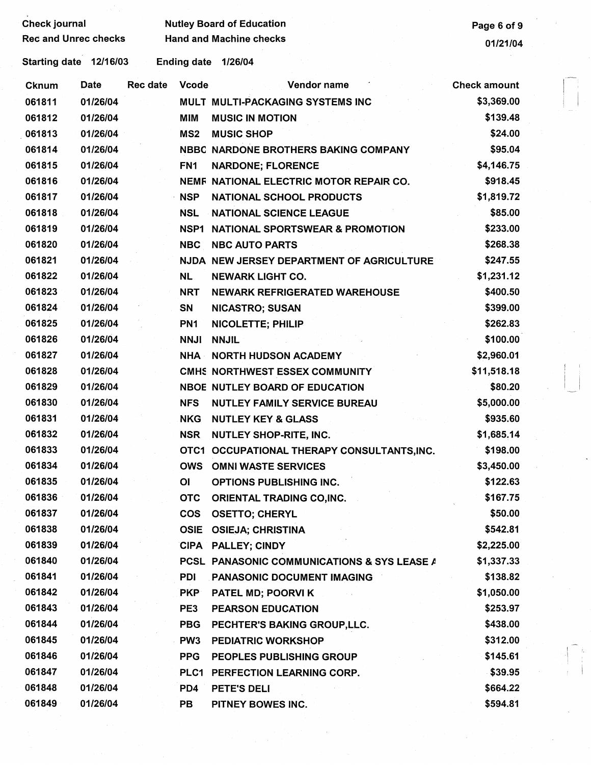| <b>Check journal</b> |                             |          | <b>Nutley Board of Education</b> | Page 6 of 9                                 |                     |  |
|----------------------|-----------------------------|----------|----------------------------------|---------------------------------------------|---------------------|--|
|                      | <b>Rec and Unrec checks</b> |          |                                  | <b>Hand and Machine checks</b>              | 01/21/04            |  |
|                      | Starting date 12/16/03      |          |                                  | Ending date 1/26/04                         |                     |  |
| <b>Cknum</b>         | Date                        | Rec date | <b>Vcode</b>                     | Vendor name                                 | <b>Check amount</b> |  |
| 061811               | 01/26/04                    |          |                                  | MULT MULTI-PACKAGING SYSTEMS INC            | \$3,369.00          |  |
| 061812               | 01/26/04                    |          | <b>MIM</b>                       | <b>MUSIC IN MOTION</b>                      | \$139.48            |  |
| 061813               | 01/26/04                    |          | MS <sub>2</sub>                  | <b>MUSIC SHOP</b>                           | \$24.00             |  |
| 061814               | 01/26/04                    |          |                                  | NBBC NARDONE BROTHERS BAKING COMPANY        | \$95.04             |  |
| 061815               | 01/26/04                    |          | FN <sub>1</sub>                  | <b>NARDONE; FLORENCE</b>                    | \$4,146.75          |  |
| 061816               | 01/26/04                    |          |                                  | NEMF NATIONAL ELECTRIC MOTOR REPAIR CO.     | \$918.45            |  |
| 061817               | 01/26/04                    |          | <b>NSP</b>                       | NATIONAL SCHOOL PRODUCTS                    | \$1,819.72          |  |
| 061818               | 01/26/04                    |          | <b>NSL</b>                       | <b>NATIONAL SCIENCE LEAGUE</b>              | \$85.00             |  |
| 061819               | 01/26/04                    |          | NSP1                             | NATIONAL SPORTSWEAR & PROMOTION             | \$233.00            |  |
| 061820               | 01/26/04                    |          | <b>NBC</b>                       | <b>NBC AUTO PARTS</b>                       | \$268.38            |  |
| 061821               | 01/26/04                    |          |                                  | NJDA NEW JERSEY DEPARTMENT OF AGRICULTURE   | \$247.55            |  |
| 061822               | 01/26/04                    |          | <b>NL</b>                        | <b>NEWARK LIGHT CO.</b>                     | \$1,231.12          |  |
| 061823               | 01/26/04                    |          | <b>NRT</b>                       | <b>NEWARK REFRIGERATED WAREHOUSE</b>        | \$400.50            |  |
| 061824               | 01/26/04                    |          | <b>SN</b>                        | <b>NICASTRO; SUSAN</b>                      | \$399.00            |  |
| 061825               | 01/26/04                    |          | PN <sub>1</sub>                  | <b>NICOLETTE; PHILIP</b>                    | \$262.83            |  |
| 061826               | 01/26/04                    |          | <b>NNJI</b>                      | <b>NNJIL</b>                                | \$100.00            |  |
| 061827               | 01/26/04                    |          | <b>NHA</b>                       | <b>NORTH HUDSON ACADEMY</b>                 | \$2,960.01          |  |
| 061828               | 01/26/04                    |          |                                  | CMHS NORTHWEST ESSEX COMMUNITY              | \$11,518.18         |  |
| 061829               | 01/26/04                    |          |                                  | NBOE NUTLEY BOARD OF EDUCATION              | \$80.20             |  |
| 061830               | 01/26/04                    |          | <b>NFS</b>                       | <b>NUTLEY FAMILY SERVICE BUREAU</b>         | \$5,000.00          |  |
| 061831               | 01/26/04                    |          | <b>NKG</b>                       | <b>NUTLEY KEY &amp; GLASS</b>               | \$935.60            |  |
| 061832               | 01/26/04                    |          | <b>NSR</b>                       | <b>NUTLEY SHOP-RITE, INC.</b>               | \$1,685.14          |  |
| 061833               | 01/26/04                    |          |                                  | OTC1 OCCUPATIONAL THERAPY CONSULTANTS, INC. | \$198.00            |  |
| 061834               | 01/26/04                    |          |                                  | <b>OWS OMNI WASTE SERVICES</b>              | \$3,450.00          |  |
| 061835               | 01/26/04                    |          | OI                               | OPTIONS PUBLISHING INC.                     | \$122.63            |  |
| 061836               | 01/26/04                    |          | <b>OTC</b>                       | ORIENTAL TRADING CO, INC.                   | \$167.75            |  |
| 061837               | 01/26/04                    |          | <b>COS</b>                       | <b>OSETTO; CHERYL</b>                       | \$50.00             |  |
| 061838               | 01/26/04                    |          |                                  | OSIE OSIEJA; CHRISTINA                      | \$542.81            |  |
| 061839               | 01/26/04                    |          |                                  | CIPA PALLEY; CINDY                          | \$2,225.00          |  |
| 061840               | 01/26/04                    |          |                                  | PCSL PANASONIC COMMUNICATIONS & SYS LEASE A | \$1,337.33          |  |
| 061841               | 01/26/04                    |          | PDI                              | PANASONIC DOCUMENT IMAGING                  | \$138.82            |  |
| 061842               | 01/26/04                    |          | <b>PKP</b>                       | PATEL MD; POORVI K                          | \$1,050.00          |  |
| 061843               | 01/26/04                    |          | PE3                              | PEARSON EDUCATION                           | \$253.97            |  |
| 061844               | 01/26/04                    |          | <b>PBG</b>                       | PECHTER'S BAKING GROUP, LLC.                | \$438.00            |  |
| 061845               | 01/26/04                    |          | PW3                              | <b>PEDIATRIC WORKSHOP</b>                   | \$312.00            |  |
| 061846               | 01/26/04                    |          | <b>PPG</b>                       | PEOPLES PUBLISHING GROUP                    | \$145.61            |  |
| 061847               | 01/26/04                    |          |                                  | PLC1 PERFECTION LEARNING CORP.              | \$39.95             |  |
| 061848               | 01/26/04                    |          | PD4                              | PETE'S DELI                                 | \$664.22            |  |
| 061849               | 01/26/04                    |          | PB                               | PITNEY BOWES INC.                           | \$594.81            |  |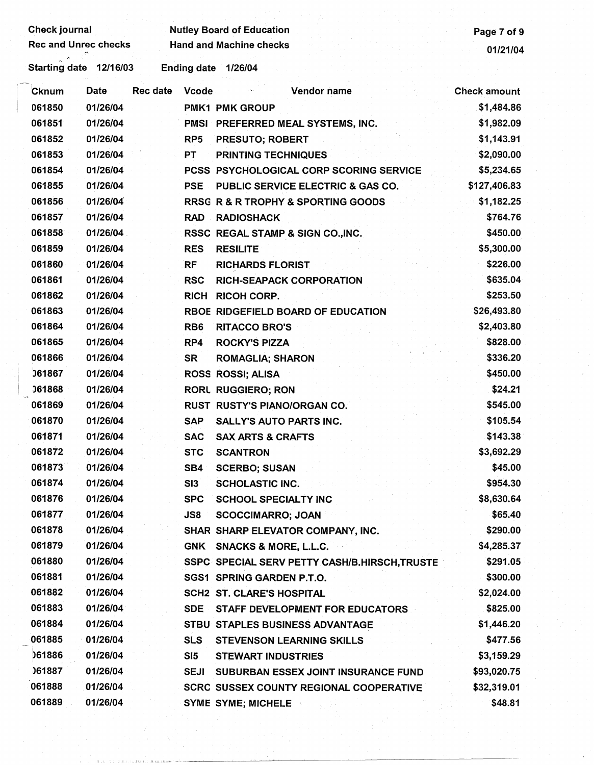| <b>Check journal</b><br><b>Rec and Unrec checks</b> |          |                 |                    | <b>Nutley Board of Education</b><br><b>Hand and Machine checks</b> | Page 7 of 9         |
|-----------------------------------------------------|----------|-----------------|--------------------|--------------------------------------------------------------------|---------------------|
|                                                     |          |                 |                    |                                                                    | 01/21/04            |
| Starting date 12/16/03                              |          |                 | <b>Ending date</b> | 1/26/04                                                            |                     |
| Cknum                                               | Date     | <b>Rec date</b> | <b>Vcode</b>       | Vendor name                                                        | <b>Check amount</b> |
| 061850                                              | 01/26/04 |                 |                    | <b>PMK1 PMK GROUP</b>                                              | \$1,484.86          |
| 061851                                              | 01/26/04 |                 |                    | PMSI PREFERRED MEAL SYSTEMS, INC.                                  | \$1,982.09          |
| 061852                                              | 01/26/04 |                 | RP <sub>5</sub>    | <b>PRESUTO; ROBERT</b>                                             | \$1,143.91          |
| 061853                                              | 01/26/04 |                 | <b>PT</b>          | <b>PRINTING TECHNIQUES</b>                                         | \$2,090.00          |
| 061854                                              | 01/26/04 |                 |                    | PCSS PSYCHOLOGICAL CORP SCORING SERVICE                            | \$5,234.65          |
| 061855                                              | 01/26/04 |                 | <b>PSE</b>         | PUBLIC SERVICE ELECTRIC & GAS CO.                                  | \$127,406.83        |
| 061856                                              | 01/26/04 |                 |                    | <b>RRSG R &amp; R TROPHY &amp; SPORTING GOODS</b>                  | \$1,182.25          |
| 061857                                              | 01/26/04 |                 | <b>RAD</b>         | <b>RADIOSHACK</b>                                                  | \$764.76            |
| 061858                                              | 01/26/04 |                 |                    | RSSC REGAL STAMP & SIGN CO., INC.                                  | \$450.00            |
| 061859                                              | 01/26/04 |                 | <b>RES</b>         | <b>RESILITE</b>                                                    | \$5,300.00          |
| 061860                                              | 01/26/04 |                 | <b>RF</b>          | <b>RICHARDS FLORIST</b>                                            | \$226.00            |
| 061861                                              | 01/26/04 |                 | <b>RSC</b>         | <b>RICH-SEAPACK CORPORATION</b>                                    | \$635.04            |
| 061862                                              | 01/26/04 |                 | <b>RICH</b>        | <b>RICOH CORP.</b>                                                 | \$253.50            |
| 061863                                              | 01/26/04 |                 |                    | RBOE RIDGEFIELD BOARD OF EDUCATION                                 | \$26,493.80         |
| 061864                                              | 01/26/04 |                 | RB <sub>6</sub>    | <b>RITACCO BRO'S</b>                                               | \$2,403.80          |
| 061865                                              | 01/26/04 |                 | RP4                | <b>ROCKY'S PIZZA</b>                                               | \$828.00            |
| 061866                                              | 01/26/04 |                 | <b>SR</b>          | <b>ROMAGLIA; SHARON</b>                                            | \$336.20            |
| 061867                                              | 01/26/04 |                 |                    | ROSS ROSSI; ALISA                                                  | \$450.00            |
| 061868                                              | 01/26/04 |                 |                    | <b>RORL RUGGIERO; RON</b>                                          | \$24.21             |
| 061869                                              | 01/26/04 |                 |                    | <b>RUST RUSTY'S PIANO/ORGAN CO.</b>                                | \$545.00            |
| 061870                                              | 01/26/04 |                 | <b>SAP</b>         | <b>SALLY'S AUTO PARTS INC.</b>                                     | \$105.54            |
| 061871                                              | 01/26/04 |                 | <b>SAC</b>         | <b>SAX ARTS &amp; CRAFTS</b>                                       | \$143.38            |
| 061872                                              | 01/26/04 |                 | <b>STC</b>         | <b>SCANTRON</b>                                                    | \$3,692.29          |
| 061873                                              | 01/26/04 |                 | SB4                | <b>SCERBO; SUSAN</b>                                               | \$45.00             |
| 061874                                              | 01/26/04 |                 | SI3                | <b>SCHOLASTIC INC.</b>                                             | \$954.30            |
| 061876                                              | 01/26/04 |                 | <b>SPC</b>         | <b>SCHOOL SPECIALTY INC</b>                                        | \$8,630.64          |
| 061877                                              | 01/26/04 |                 | <b>JS8</b>         | <b>SCOCCIMARRO; JOAN</b>                                           | \$65.40             |
| 061878                                              | 01/26/04 |                 |                    | SHAR SHARP ELEVATOR COMPANY, INC.                                  | \$290.00            |
| 061879                                              | 01/26/04 |                 |                    | GNK SNACKS & MORE, L.L.C.                                          | \$4,285.37          |
| 061880                                              | 01/26/04 |                 |                    | SSPC SPECIAL SERV PETTY CASH/B.HIRSCH, TRUSTE                      | \$291.05            |
| 061881                                              | 01/26/04 |                 |                    | SGS1 SPRING GARDEN P.T.O.                                          | \$300.00            |
| 061882                                              | 01/26/04 |                 |                    | <b>SCH2 ST. CLARE'S HOSPITAL</b>                                   | \$2,024.00          |
| 061883                                              | 01/26/04 |                 | <b>SDE</b>         | STAFF DEVELOPMENT FOR EDUCATORS                                    | \$825.00            |
| 061884                                              | 01/26/04 |                 |                    | STBU STAPLES BUSINESS ADVANTAGE                                    | \$1,446.20          |
| 061885                                              | 01/26/04 |                 | <b>SLS</b>         | <b>STEVENSON LEARNING SKILLS</b>                                   | \$477.56            |
| 061886                                              | 01/26/04 |                 | SI5                | <b>STEWART INDUSTRIES</b>                                          | \$3,159.29          |
| 061887                                              | 01/26/04 |                 | <b>SEJI</b>        | SUBURBAN ESSEX JOINT INSURANCE FUND                                | \$93,020.75         |
| 061888                                              | 01/26/04 |                 |                    | <b>SCRC SUSSEX COUNTY REGIONAL COOPERATIVE</b>                     | \$32,319.01         |
| 061889                                              | 01/26/04 |                 |                    | <b>SYME SYME; MICHELE</b>                                          | \$48.81             |

 $j$  ,  $\mathbb{U}_{1}$  ,  $j$  ,  $\mathbb{U}_{2}$  ,  $\mathbb{U}_{3}$  ,  $\mathbb{U}_{4}$  . In a set of the  $i$  -and  $i$  -and  $i$  -and  $i$  -and  $i$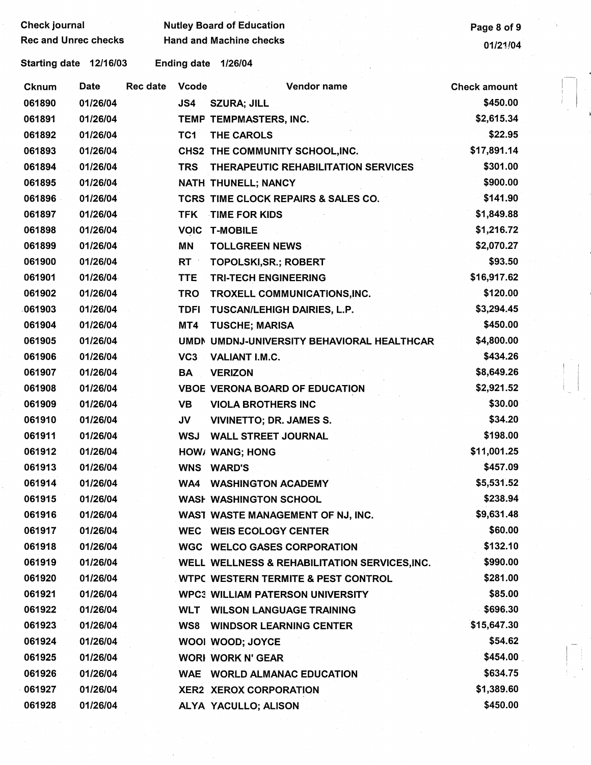| <b>Check journal</b>        |          |          |                    | <b>Nutley Board of Education</b>               | Page 8 of 9         |
|-----------------------------|----------|----------|--------------------|------------------------------------------------|---------------------|
| <b>Rec and Unrec checks</b> |          |          |                    | <b>Hand and Machine checks</b>                 | 01/21/04            |
| Starting date 12/16/03      |          |          | <b>Ending date</b> | 1/26/04                                        |                     |
| <b>Cknum</b>                | Date     | Rec date | <b>Vcode</b>       | Vendor name                                    | <b>Check amount</b> |
| 061890                      | 01/26/04 |          | JS4                | <b>SZURA; JILL</b>                             | \$450.00            |
| 061891                      | 01/26/04 |          |                    | TEMP TEMPMASTERS, INC.                         | \$2,615.34          |
| 061892                      | 01/26/04 |          | TC <sub>1</sub>    | THE CAROLS                                     | \$22.95             |
| 061893                      | 01/26/04 |          |                    | CHS2 THE COMMUNITY SCHOOL, INC.                | \$17,891.14         |
| 061894                      | 01/26/04 |          | <b>TRS</b>         | THERAPEUTIC REHABILITATION SERVICES            | \$301.00            |
| 061895                      | 01/26/04 |          |                    | NATH THUNELL; NANCY                            | \$900.00            |
| 061896                      | 01/26/04 |          |                    | TCRS TIME CLOCK REPAIRS & SALES CO.            | \$141.90            |
| 061897                      | 01/26/04 |          | <b>TFK</b>         | TIME FOR KIDS                                  | \$1,849.88          |
| 061898                      | 01/26/04 |          | <b>VOIC</b>        | <b>T-MOBILE</b>                                | \$1,216.72          |
| 061899                      | 01/26/04 |          | MN                 | <b>TOLLGREEN NEWS</b>                          | \$2,070.27          |
| 061900                      | 01/26/04 |          | RT :               | <b>TOPOLSKI, SR.; ROBERT</b>                   | \$93.50             |
| 061901                      | 01/26/04 |          | <b>TTE</b>         | <b>TRI-TECH ENGINEERING</b>                    | \$16,917.62         |
| 061902                      | 01/26/04 |          | <b>TRO</b>         | TROXELL COMMUNICATIONS, INC.                   | \$120.00            |
| 061903                      | 01/26/04 |          | <b>TDFI</b>        | TUSCAN/LEHIGH DAIRIES, L.P.                    | \$3,294.45          |
| 061904                      | 01/26/04 |          | MT4                | <b>TUSCHE; MARISA</b>                          | \$450.00            |
| 061905                      | 01/26/04 |          |                    | UMDN UMDNJ-UNIVERSITY BEHAVIORAL HEALTHCAR     | \$4,800.00          |
| 061906                      | 01/26/04 |          | VC <sub>3</sub>    | VALIANT I.M.C.                                 | \$434.26            |
| 061907                      | 01/26/04 |          | BA                 | <b>VERIZON</b>                                 | \$8,649.26          |
| 061908                      | 01/26/04 |          |                    | <b>VBOE VERONA BOARD OF EDUCATION</b>          | \$2,921.52          |
| 061909                      | 01/26/04 |          | <b>VB</b>          | <b>VIOLA BROTHERS INC</b>                      | \$30.00             |
| 061910                      | 01/26/04 |          | JV                 | <b>VIVINETTO; DR. JAMES S.</b>                 | \$34.20             |
| 061911                      | 01/26/04 |          | <b>WSJ</b>         | <b>WALL STREET JOURNAL</b>                     | \$198.00            |
| 061912                      | 01/26/04 |          |                    | HOW/ WANG; HONG                                | \$11,001.25         |
| 061913                      | 01/26/04 |          |                    | <b>WNS WARD'S</b>                              | \$457.09            |
| 061914                      | 01/26/04 |          | WA4                | <b>WASHINGTON ACADEMY</b>                      | \$5,531.52          |
| 061915                      | 01/26/04 |          |                    | <b>WASH WASHINGTON SCHOOL</b>                  | \$238.94            |
| 061916                      | 01/26/04 |          |                    | WAST WASTE MANAGEMENT OF NJ, INC.              | \$9,631.48          |
| 061917                      | 01/26/04 |          |                    | <b>WEC WEIS ECOLOGY CENTER</b>                 | \$60.00             |
| 061918                      | 01/26/04 |          |                    | <b>WGC WELCO GASES CORPORATION</b>             | \$132.10            |
| 061919                      | 01/26/04 |          |                    | WELL WELLNESS & REHABILITATION SERVICES, INC.  | \$990.00            |
| 061920                      | 01/26/04 |          |                    | <b>WTPC WESTERN TERMITE &amp; PEST CONTROL</b> | \$281.00            |
| 061921                      | 01/26/04 |          |                    | <b>WPC3 WILLIAM PATERSON UNIVERSITY</b>        | \$85.00             |
| 061922                      | 01/26/04 |          | <b>WLT</b>         | <b>WILSON LANGUAGE TRAINING</b>                | \$696.30            |
| 061923                      | 01/26/04 |          | WS8                | <b>WINDSOR LEARNING CENTER</b>                 | \$15,647.30         |
| 061924                      | 01/26/04 |          |                    | WOOI WOOD; JOYCE                               | \$54.62             |
| 061925                      | 01/26/04 |          |                    | <b>WORI WORK N' GEAR</b>                       | \$454.00            |
| 061926                      | 01/26/04 |          |                    | <b>WAE WORLD ALMANAC EDUCATION</b>             | \$634.75            |
| 061927                      | 01/26/04 |          |                    | <b>XER2 XEROX CORPORATION</b>                  | \$1,389.60          |
| 061928                      | 01/26/04 |          |                    | ALYA YACULLO; ALISON                           | \$450.00            |

-

I